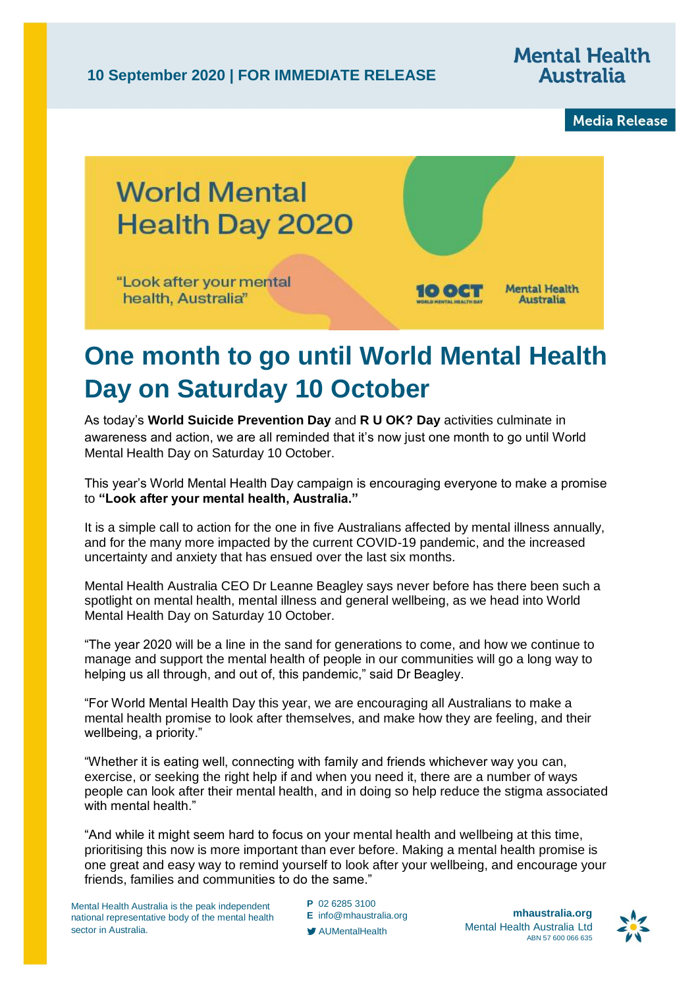**10 September 2020 | FOR IMMEDIATE RELEASE**

## **Mental Health Australia**

**Media Release** 



## **One month to go until World Mental Health Day on Saturday 10 October**

As today's **World Suicide Prevention Day** and **R U OK? Day** activities culminate in awareness and action, we are all reminded that it's now just one month to go until World Mental Health Day on Saturday 10 October.

This year's World Mental Health Day campaign is encouraging everyone to make a promise to **"Look after your mental health, Australia."**

It is a simple call to action for the one in five Australians affected by mental illness annually, and for the many more impacted by the current COVID-19 pandemic, and the increased uncertainty and anxiety that has ensued over the last six months.

Mental Health Australia CEO Dr Leanne Beagley says never before has there been such a spotlight on mental health, mental illness and general wellbeing, as we head into World Mental Health Day on Saturday 10 October.

"The year 2020 will be a line in the sand for generations to come, and how we continue to manage and support the mental health of people in our communities will go a long way to helping us all through, and out of, this pandemic," said Dr Beagley.

"For World Mental Health Day this year, we are encouraging all Australians to make a mental health promise to look after themselves, and make how they are feeling, and their wellbeing, a priority."

"Whether it is eating well, connecting with family and friends whichever way you can, exercise, or seeking the right help if and when you need it, there are a number of ways people can look after their mental health, and in doing so help reduce the stigma associated with mental health."

"And while it might seem hard to focus on your mental health and wellbeing at this time, prioritising this now is more important than ever before. Making a mental health promise is one great and easy way to remind yourself to look after your wellbeing, and encourage your friends, families and communities to do the same."

Mental Health Australia is the peak independent national representative body of the mental health sector in Australia.

**P** 02 6285 3100 **E** [info@mhaustralia.org](mailto:info@mhaustralia.org) AUMentalHealth

**mhaustralia.org** Mental Health Australia Ltd ABN 57 600 066 635